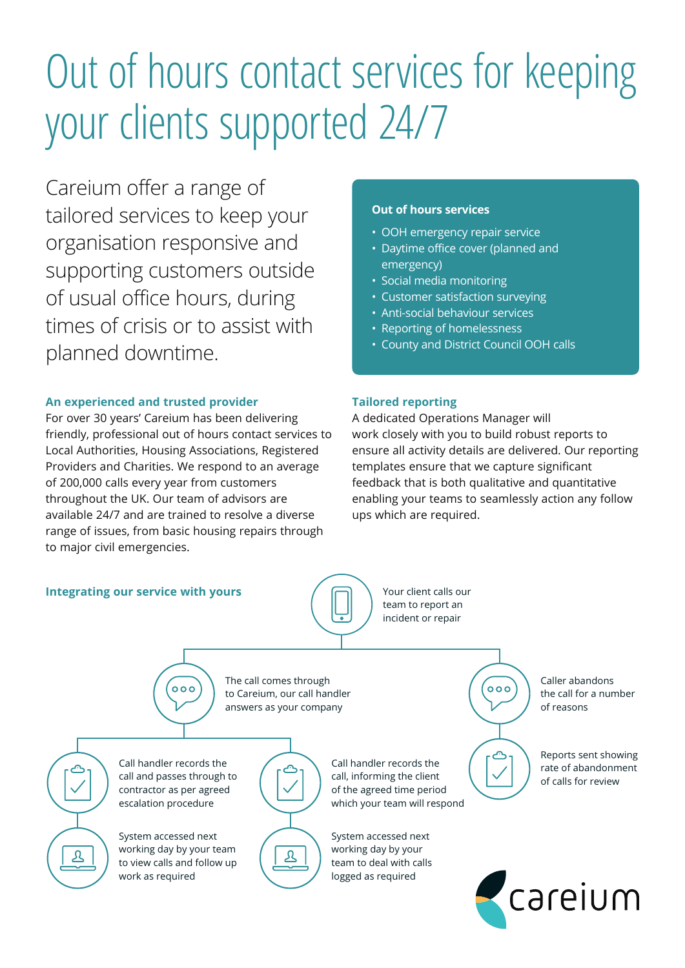# Out of hours contact services for keeping your clients supported 24/7

Careium offer a range of tailored services to keep your organisation responsive and supporting customers outside of usual office hours, during times of crisis or to assist with planned downtime.

# **An experienced and trusted provider**

For over 30 years' Careium has been delivering friendly, professional out of hours contact services to Local Authorities, Housing Associations, Registered Providers and Charities. We respond to an average of 200,000 calls every year from customers throughout the UK. Our team of advisors are available 24/7 and are trained to resolve a diverse range of issues, from basic housing repairs through to major civil emergencies.

# **Out of hours services**

- OOH emergency repair service
- Daytime office cover (planned and emergency)
- Social media monitoring
- Customer satisfaction surveying
- Anti-social behaviour services
- Reporting of homelessness
- County and District Council OOH calls

## **Tailored reporting**

A dedicated Operations Manager will work closely with you to build robust reports to ensure all activity details are delivered. Our reporting templates ensure that we capture significant feedback that is both qualitative and quantitative enabling your teams to seamlessly action any follow ups which are required.